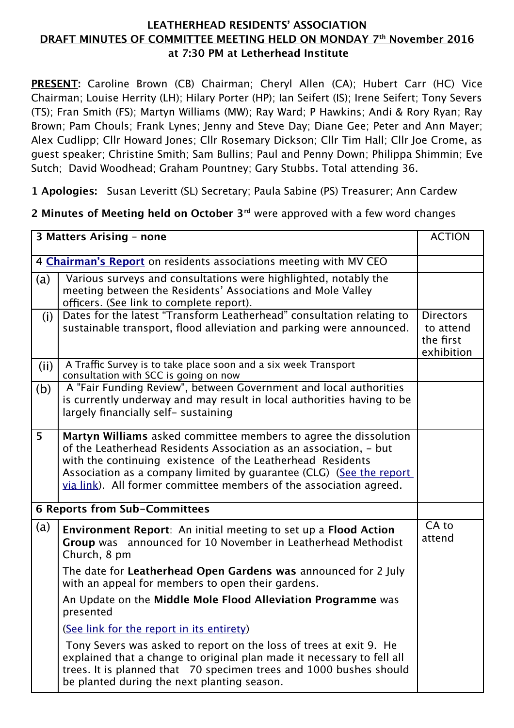## **LEATHERHEAD RESIDENTS' ASSOCIATION DRAFT MINUTES OF COMMITTEE MEETING HELD ON MONDAY 7th November 2016 at 7:30 PM at Letherhead Institute**

**PRESENT:** *Caroline Brown (CB) Chairman; Cheryl Allen (CA); Hubert Carr (HC) Vice Chairman; Louise Herrity (LH); Hilary Porter (HP); Ian Seifert (IS); Irene Seifert; Tony Severs (TS); Fran Smith (FS); Martyn Williams (MW); Ray Ward; P Hawkins; Andi & Rory Ryan; Ray Brown; Pam Chouls; Frank Lynes; Jenny and Steve Day; Diane Gee; Peter and Ann Mayer; Alex Cudlipp; Cllr Howard Jones; Cllr Rosemary Dickson; Cllr Tim Hall; Cllr Joe Crome, as guest speaker; Christine Smith; Sam Bullins; Paul and Penny Down; Philippa Shimmin; Eve Sutch; David Woodhead; Graham Pountney; Gary Stubbs. Total attending 36.*

**1 Apologies:** *Susan Leveritt (SL) Secretary; Paula Sabine (PS) Treasurer; Ann Cardew*

**2 Minutes of Meeting held on October 3rd** *were approved with a few word changes*

| 3 Matters Arising - none                                          |                                                                                                                                                                                                                                                                                                                                                  |                                                          |
|-------------------------------------------------------------------|--------------------------------------------------------------------------------------------------------------------------------------------------------------------------------------------------------------------------------------------------------------------------------------------------------------------------------------------------|----------------------------------------------------------|
| 4 Chairman's Report on residents associations meeting with MV CEO |                                                                                                                                                                                                                                                                                                                                                  |                                                          |
| (a)                                                               | Various surveys and consultations were highlighted, notably the<br>meeting between the Residents' Associations and Mole Valley<br>officers. (See link to complete report).                                                                                                                                                                       |                                                          |
| (i)                                                               | Dates for the latest "Transform Leatherhead" consultation relating to<br>sustainable transport, flood alleviation and parking were announced.                                                                                                                                                                                                    | <b>Directors</b><br>to attend<br>the first<br>exhibition |
| (ii)                                                              | A Traffic Survey is to take place soon and a six week Transport<br>consultation with SCC is going on now                                                                                                                                                                                                                                         |                                                          |
| (b)                                                               | A "Fair Funding Review", between Government and local authorities<br>is currently underway and may result in local authorities having to be<br>largely financially self- sustaining                                                                                                                                                              |                                                          |
| 5                                                                 | Martyn Williams asked committee members to agree the dissolution<br>of the Leatherhead Residents Association as an association, - but<br>with the continuing existence of the Leatherhead Residents<br>Association as a company limited by guarantee (CLG) (See the report<br>via link). All former committee members of the association agreed. |                                                          |
| <b>6 Reports from Sub-Committees</b>                              |                                                                                                                                                                                                                                                                                                                                                  |                                                          |
| (a)                                                               | <b>Environment Report:</b> An initial meeting to set up a <b>Flood Action</b><br>Group was announced for 10 November in Leatherhead Methodist<br>Church, 8 pm                                                                                                                                                                                    | CA to<br>attend                                          |
|                                                                   | The date for Leatherhead Open Gardens was announced for 2 July<br>with an appeal for members to open their gardens.                                                                                                                                                                                                                              |                                                          |
|                                                                   | An Update on the Middle Mole Flood Alleviation Programme was<br>presented                                                                                                                                                                                                                                                                        |                                                          |
|                                                                   | (See link for the report in its entirety)                                                                                                                                                                                                                                                                                                        |                                                          |
|                                                                   | Tony Severs was asked to report on the loss of trees at exit 9. He<br>explained that a change to original plan made it necessary to fell all<br>trees. It is planned that 70 specimen trees and 1000 bushes should<br>be planted during the next planting season.                                                                                |                                                          |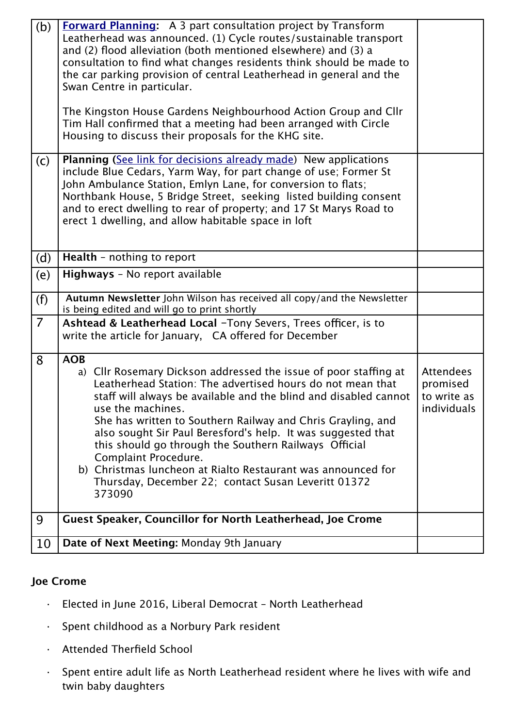| (b)            | <b>Forward Planning:</b> A 3 part consultation project by Transform<br>Leatherhead was announced. (1) Cycle routes/sustainable transport<br>and (2) flood alleviation (both mentioned elsewhere) and (3) a<br>consultation to find what changes residents think should be made to<br>the car parking provision of central Leatherhead in general and the<br>Swan Centre in particular.                                                                                                                                                                                                 |                                                            |
|----------------|----------------------------------------------------------------------------------------------------------------------------------------------------------------------------------------------------------------------------------------------------------------------------------------------------------------------------------------------------------------------------------------------------------------------------------------------------------------------------------------------------------------------------------------------------------------------------------------|------------------------------------------------------------|
|                | The Kingston House Gardens Neighbourhood Action Group and Cllr<br>Tim Hall confirmed that a meeting had been arranged with Circle<br>Housing to discuss their proposals for the KHG site.                                                                                                                                                                                                                                                                                                                                                                                              |                                                            |
| (c)            | <b>Planning (See link for decisions already made)</b> New applications<br>include Blue Cedars, Yarm Way, for part change of use; Former St<br>John Ambulance Station, Emlyn Lane, for conversion to flats;<br>Northbank House, 5 Bridge Street, seeking listed building consent<br>and to erect dwelling to rear of property; and 17 St Marys Road to<br>erect 1 dwelling, and allow habitable space in loft                                                                                                                                                                           |                                                            |
| (d)            | Health - nothing to report                                                                                                                                                                                                                                                                                                                                                                                                                                                                                                                                                             |                                                            |
| (e)            | Highways - No report available                                                                                                                                                                                                                                                                                                                                                                                                                                                                                                                                                         |                                                            |
| (f)            | Autumn Newsletter John Wilson has received all copy/and the Newsletter<br>is being edited and will go to print shortly                                                                                                                                                                                                                                                                                                                                                                                                                                                                 |                                                            |
| $\overline{7}$ | Ashtead & Leatherhead Local -Tony Severs, Trees officer, is to<br>write the article for January, CA offered for December                                                                                                                                                                                                                                                                                                                                                                                                                                                               |                                                            |
| 8              | <b>AOB</b><br>a) Cllr Rosemary Dickson addressed the issue of poor staffing at<br>Leatherhead Station: The advertised hours do not mean that<br>staff will always be available and the blind and disabled cannot<br>use the machines.<br>She has written to Southern Railway and Chris Grayling, and<br>also sought Sir Paul Beresford's help. It was suggested that<br>this should go through the Southern Railways Official<br>Complaint Procedure.<br>b) Christmas luncheon at Rialto Restaurant was announced for<br>Thursday, December 22; contact Susan Leveritt 01372<br>373090 | <b>Attendees</b><br>promised<br>to write as<br>individuals |
| 9              | <b>Guest Speaker, Councillor for North Leatherhead, Joe Crome</b>                                                                                                                                                                                                                                                                                                                                                                                                                                                                                                                      |                                                            |
| 10             | Date of Next Meeting: Monday 9th January                                                                                                                                                                                                                                                                                                                                                                                                                                                                                                                                               |                                                            |

## **Joe Crome**

- · *Elected in June 2016, Liberal Democrat North Leatherhead*
- · *Spent childhood as a Norbury Park resident*
- · *Attended Therfield School*
- · *Spent entire adult life as North Leatherhead resident where he lives with wife and twin baby daughters*